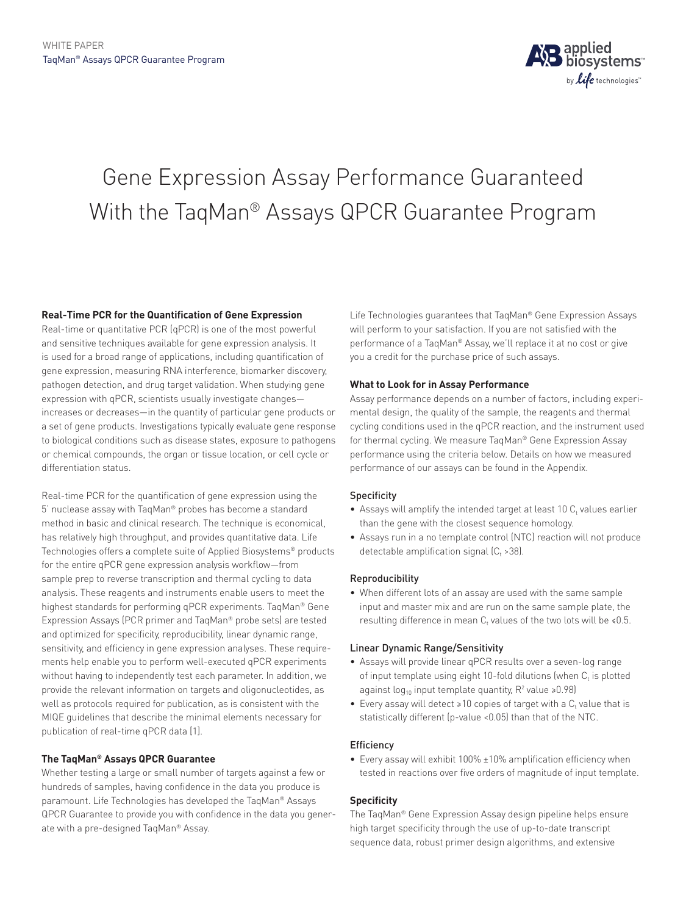

# Gene Expression Assay Performance Guaranteed With the TaqMan® Assays QPCR Guarantee Program

# **Real-Time PCR for the Quantification of Gene Expression**

Real-time or quantitative PCR (qPCR) is one of the most powerful and sensitive techniques available for gene expression analysis. It is used for a broad range of applications, including quantification of gene expression, measuring RNA interference, biomarker discovery, pathogen detection, and drug target validation. When studying gene expression with qPCR, scientists usually investigate changes increases or decreases—in the quantity of particular gene products or a set of gene products. Investigations typically evaluate gene response to biological conditions such as disease states, exposure to pathogens or chemical compounds, the organ or tissue location, or cell cycle or differentiation status.

Real-time PCR for the quantification of gene expression using the 5' nuclease assay with TaqMan® probes has become a standard method in basic and clinical research. The technique is economical, has relatively high throughput, and provides quantitative data. Life Technologies offers a complete suite of Applied Biosystems® products for the entire qPCR gene expression analysis workflow—from sample prep to reverse transcription and thermal cycling to data analysis. These reagents and instruments enable users to meet the highest standards for performing qPCR experiments. TaqMan® Gene Expression Assays (PCR primer and TaqMan® probe sets) are tested and optimized for specificity, reproducibility, linear dynamic range, sensitivity, and efficiency in gene expression analyses. These requirements help enable you to perform well-executed qPCR experiments without having to independently test each parameter. In addition, we provide the relevant information on targets and oligonucleotides, as well as protocols required for publication, as is consistent with the MIQE guidelines that describe the minimal elements necessary for publication of real-time qPCR data [1].

# **The TaqMan® Assays QPCR Guarantee**

Whether testing a large or small number of targets against a few or hundreds of samples, having confidence in the data you produce is paramount. Life Technologies has developed the TaqMan® Assays QPCR Guarantee to provide you with confidence in the data you generate with a pre-designed TaqMan® Assay.

Life Technologies guarantees that TaqMan® Gene Expression Assays will perform to your satisfaction. If you are not satisfied with the performance of a TaqMan® Assay, we'll replace it at no cost or give you a credit for the purchase price of such assays.

# **What to Look for in Assay Performance**

Assay performance depends on a number of factors, including experimental design, the quality of the sample, the reagents and thermal cycling conditions used in the qPCR reaction, and the instrument used for thermal cycling. We measure TaqMan® Gene Expression Assay performance using the criteria below. Details on how we measured performance of our assays can be found in the Appendix.

# Specificity

- $\bullet$  Assays will amplify the intended target at least 10  $\text{C}_{\text{t}}$  values earlier than the gene with the closest sequence homology.
- Assays run in a no template control (NTC) reaction will not produce detectable amplification signal  $(C_t > 38)$ .

# Reproducibility

• When different lots of an assay are used with the same sample input and master mix and are run on the same sample plate, the resulting difference in mean  $C_t$  values of the two lots will be  $\le 0.5$ .

# Linear Dynamic Range/Sensitivity

- Assays will provide linear qPCR results over a seven-log range of input template using eight 10-fold dilutions (when  $C_t$  is plotted against log<sub>10</sub> input template quantity,  $R^2$  value >0.98)
- Every assay will detect >10 copies of target with a C<sub>t</sub> value that is statistically different (p-value <0.05) than that of the NTC.

# **Efficiency**

• Every assay will exhibit 100% ±10% amplification efficiency when tested in reactions over five orders of magnitude of input template.

# **Specificity**

The TaqMan® Gene Expression Assay design pipeline helps ensure high target specificity through the use of up-to-date transcript sequence data, robust primer design algorithms, and extensive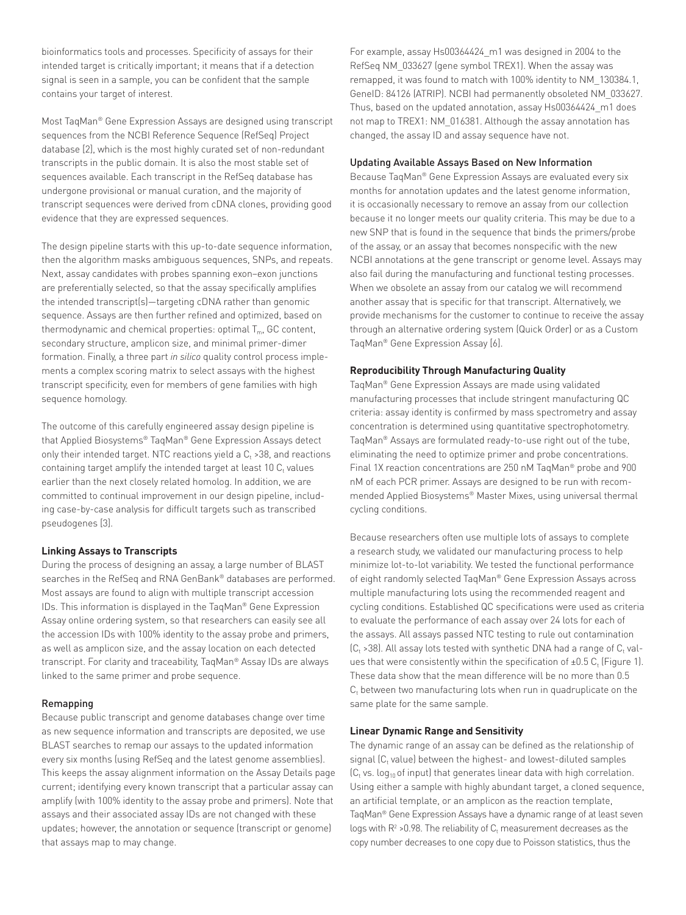bioinformatics tools and processes. Specificity of assays for their intended target is critically important; it means that if a detection signal is seen in a sample, you can be confident that the sample contains your target of interest.

Most TaqMan® Gene Expression Assays are designed using transcript sequences from the NCBI Reference Sequence (RefSeq) Project database [2], which is the most highly curated set of non-redundant transcripts in the public domain. It is also the most stable set of sequences available. Each transcript in the RefSeq database has undergone provisional or manual curation, and the majority of transcript sequences were derived from cDNA clones, providing good evidence that they are expressed sequences.

The design pipeline starts with this up-to-date sequence information, then the algorithm masks ambiguous sequences, SNPs, and repeats. Next, assay candidates with probes spanning exon–exon junctions are preferentially selected, so that the assay specifically amplifies the intended transcript(s)—targeting cDNA rather than genomic sequence. Assays are then further refined and optimized, based on thermodynamic and chemical properties: optimal  $T_{m}$ , GC content, secondary structure, amplicon size, and minimal primer-dimer formation. Finally, a three part *in silico* quality control process implements a complex scoring matrix to select assays with the highest transcript specificity, even for members of gene families with high sequence homology.

The outcome of this carefully engineered assay design pipeline is that Applied Biosystems® TaqMan® Gene Expression Assays detect only their intended target. NTC reactions yield a C<sub>t</sub> >38, and reactions containing target amplify the intended target at least 10  $\mathsf{C}_\mathsf{t}$  values earlier than the next closely related homolog. In addition, we are committed to continual improvement in our design pipeline, including case-by-case analysis for difficult targets such as transcribed pseudogenes [3].

#### **Linking Assays to Transcripts**

During the process of designing an assay, a large number of BLAST searches in the RefSeq and RNA GenBank® databases are performed. Most assays are found to align with multiple transcript accession IDs. This information is displayed in the TaqMan® Gene Expression Assay online ordering system, so that researchers can easily see all the accession IDs with 100% identity to the assay probe and primers, as well as amplicon size, and the assay location on each detected transcript. For clarity and traceability, TaqMan® Assay IDs are always linked to the same primer and probe sequence.

#### Remapping

Because public transcript and genome databases change over time as new sequence information and transcripts are deposited, we use BLAST searches to remap our assays to the updated information every six months (using RefSeq and the latest genome assemblies). This keeps the assay alignment information on the Assay Details page current; identifying every known transcript that a particular assay can amplify (with 100% identity to the assay probe and primers). Note that assays and their associated assay IDs are not changed with these updates; however, the annotation or sequence (transcript or genome) that assays map to may change.

For example, assay Hs00364424\_m1 was designed in 2004 to the RefSeq NM\_033627 (gene symbol TREX1). When the assay was remapped, it was found to match with 100% identity to NM\_130384.1, GeneID: 84126 (ATRIP). NCBI had permanently obsoleted NM\_033627. Thus, based on the updated annotation, assay Hs00364424\_m1 does not map to TREX1: NM\_016381. Although the assay annotation has changed, the assay ID and assay sequence have not.

#### Updating Available Assays Based on New Information

Because TaqMan® Gene Expression Assays are evaluated every six months for annotation updates and the latest genome information, it is occasionally necessary to remove an assay from our collection because it no longer meets our quality criteria. This may be due to a new SNP that is found in the sequence that binds the primers/probe of the assay, or an assay that becomes nonspecific with the new NCBI annotations at the gene transcript or genome level. Assays may also fail during the manufacturing and functional testing processes. When we obsolete an assay from our catalog we will recommend another assay that is specific for that transcript. Alternatively, we provide mechanisms for the customer to continue to receive the assay through an alternative ordering system (Quick Order) or as a Custom TaqMan® Gene Expression Assay [6].

#### **Reproducibility Through Manufacturing Quality**

TaqMan® Gene Expression Assays are made using validated manufacturing processes that include stringent manufacturing QC criteria: assay identity is confirmed by mass spectrometry and assay concentration is determined using quantitative spectrophotometry. TaqMan® Assays are formulated ready-to-use right out of the tube, eliminating the need to optimize primer and probe concentrations. Final 1X reaction concentrations are 250 nM TaqMan® probe and 900 nM of each PCR primer. Assays are designed to be run with recommended Applied Biosystems® Master Mixes, using universal thermal cycling conditions.

Because researchers often use multiple lots of assays to complete a research study, we validated our manufacturing process to help minimize lot-to-lot variability. We tested the functional performance of eight randomly selected TaqMan® Gene Expression Assays across multiple manufacturing lots using the recommended reagent and cycling conditions. Established QC specifications were used as criteria to evaluate the performance of each assay over 24 lots for each of the assays. All assays passed NTC testing to rule out contamination (C<sub>t</sub> >38). All assay lots tested with synthetic DNA had a range of C<sub>t</sub> values that were consistently within the specification of ±0.5  $\mathsf{C}_\mathrm{t}$  (Figure 1). These data show that the mean difference will be no more than 0.5  $\mathsf{C}_\mathsf{t}$  between two manufacturing lots when run in quadruplicate on the same plate for the same sample.

## **Linear Dynamic Range and Sensitivity**

The dynamic range of an assay can be defined as the relationship of signal (C $_{\rm t}$  value) between the highest- and lowest-diluted samples (C<sub>t</sub> vs. log<sub>10</sub> of input) that generates linear data with high correlation. Using either a sample with highly abundant target, a cloned sequence, an artificial template, or an amplicon as the reaction template, TaqMan® Gene Expression Assays have a dynamic range of at least seven logs with R $^2$  >0.98. The reliability of C<sub>t</sub> measurement decreases as the copy number decreases to one copy due to Poisson statistics, thus the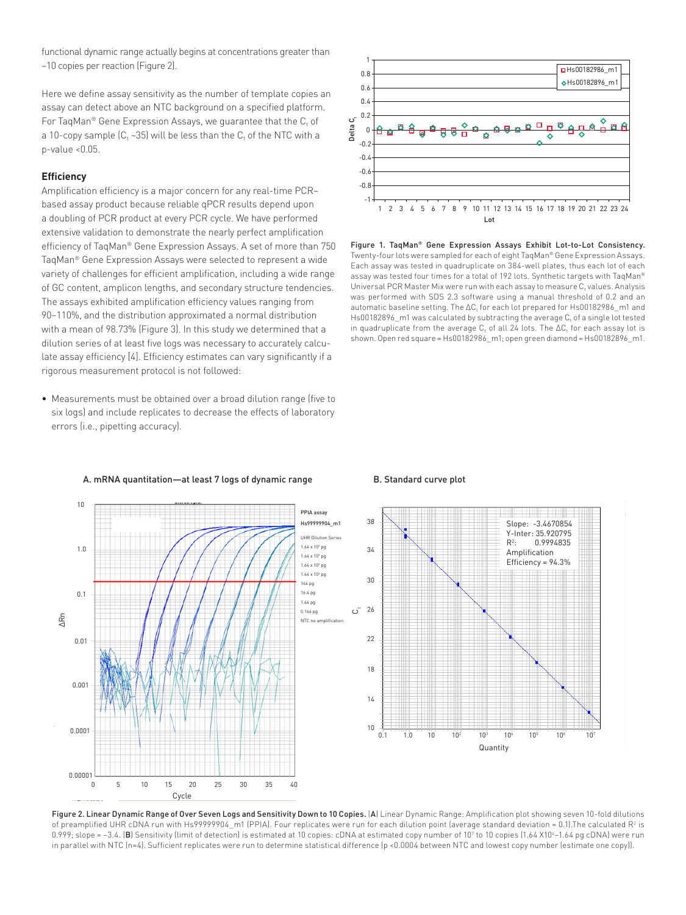functional dynamic range actually begins at concentrations greater than ~10 copies per reaction (Figure 2).

Here we define assay sensitivity as the number of template copies an assay can detect above an NTC background on a specified platform. For TaqMan® Gene Expression Assays, we guarantee that the  $\mathsf{C}_\mathsf{t}$  of a 10-copy sample (C<sub>t</sub> ~35) will be less than the C<sub>t</sub> of the NTC with a p-value <0.05.

#### **Efficiency**

Amplification efficiency is a major concern for any real-time PCR– based assay product because reliable qPCR results depend upon a doubling of PCR product at every PCR cycle. We have performed extensive validation to demonstrate the nearly perfect amplification efficiency of TaqMan® Gene Expression Assays. A set of more than 750 TaqMan® Gene Expression Assays were selected to represent a wide variety of challenges for efficient amplification, including a wide range of GC content, amplicon lengths, and secondary structure tendencies. The assays exhibited amplification efficiency values ranging from 90–110%, and the distribution approximated a normal distribution with a mean of 98.73% (Figure 3). In this study we determined that a dilution series of at least five logs was necessary to accurately calculate assay efficiency [4]. Efficiency estimates can vary significantly if a rigorous measurement protocol is not followed:

• Measurements must be obtained over a broad dilution range (five to six logs) and include replicates to decrease the effects of laboratory errors (i.e., pipetting accuracy).



Figure 1. TaqMan® Gene Expression Assays Exhibit Lot-to-Lot Consistency. Twenty-four lots were sampled for each of eight TaqMan® Gene Expression Assays. Each assay was tested in quadruplicate on 384-well plates, thus each lot of each assay was tested four times for a total of 192 lots. Synthetic targets with TaqMan® Universal PCR Master Mix were run with each assay to measure  $C_t$  values. Analysis was performed with SDS 2.3 software using a manual threshold of 0.2 and an automatic baseline setting. The  $\Delta {\sf C}_t$  for each lot prepared for Hs00182986\_m1 and Hs00182896\_m1 was calculated by subtracting the average  $C_t$  of a single lot tested in quadruplicate from the average C<sub>t</sub> of all 24 lots. The  $\Delta C_t$  for each assay lot is shown. Open red square = Hs00182986\_m1; open green diamond = Hs00182896\_m1.



#### A. mRNA quantitation—at least 7 logs of dynamic range

Figure 2. Linear Dynamic Range of Over Seven Logs and Sensitivity Down to 10 Copies. (A) Linear Dynamic Range: Amplification plot showing seven 10-fold dilutions of preamplified UHR cDNA run with Hs99999904\_m1 (PPIA). Four replicates were run for each dilution point (average standard deviation = 0.1).The calculated R2 is 0.999; slope = –3.4. (**B**) Sensitivity (limit of detection) is estimated at 10 copies: cDNA at estimated copy number of 10' to 10 copies (1.64 X10'–1.64 pg cDNA) were run in parallel with NTC (n=4). Sufficient replicates were run to determine statistical difference (p <0.0004 between NTC and lowest copy number (estimate one copy)).

## B. Standard curve plot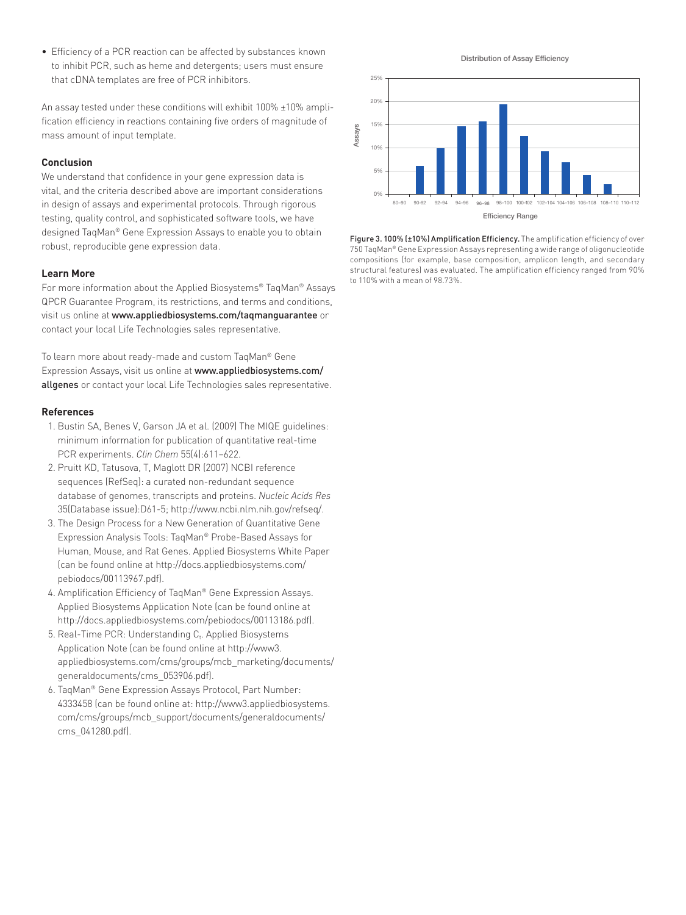• Efficiency of a PCR reaction can be affected by substances known to inhibit PCR, such as heme and detergents; users must ensure that cDNA templates are free of PCR inhibitors.

An assay tested under these conditions will exhibit 100% ±10% amplification efficiency in reactions containing five orders of magnitude of mass amount of input template.

## **Conclusion**

We understand that confidence in your gene expression data is vital, and the criteria described above are important considerations in design of assays and experimental protocols. Through rigorous testing, quality control, and sophisticated software tools, we have designed TaqMan® Gene Expression Assays to enable you to obtain robust, reproducible gene expression data.

# **Learn More**

For more information about the Applied Biosystems® TaqMan® Assays QPCR Guarantee Program, its restrictions, and terms and conditions, visit us online at www.appliedbiosystems.com/taqmanguarantee or contact your local Life Technologies sales representative.

To learn more about ready-made and custom TaqMan® Gene Expression Assays, visit us online at www.appliedbiosystems.com/ allgenes or contact your local Life Technologies sales representative.

## **References**

- 1. Bustin SA, Benes V, Garson JA et al. (2009) The MIQE guidelines: minimum information for publication of quantitative real-time PCR experiments. *Clin Chem* 55(4):611–622.
- 2. Pruitt KD, Tatusova, T, Maglott DR (2007) NCBI reference sequences (RefSeq): a curated non-redundant sequence database of genomes, transcripts and proteins. *Nucleic Acids Res* 35(Database issue):D61-5; http://www.ncbi.nlm.nih.gov/refseq/.
- 3. The Design Process for a New Generation of Quantitative Gene Expression Analysis Tools: TaqMan® Probe-Based Assays for Human, Mouse, and Rat Genes. Applied Biosystems White Paper (can be found online at http://docs.appliedbiosystems.com/ pebiodocs/00113967.pdf).
- 4. Amplification Efficiency of TaqMan® Gene Expression Assays. Applied Biosystems Application Note (can be found online at http://docs.appliedbiosystems.com/pebiodocs/00113186.pdf).
- $5.$  Real-Time PCR: Understanding  $C_t$ . Applied Biosystems Application Note (can be found online at http://www3. appliedbiosystems.com/cms/groups/mcb\_marketing/documents/ generaldocuments/cms\_053906.pdf).
- 6. TaqMan® Gene Expression Assays Protocol, Part Number: 4333458 (can be found online at: http://www3.appliedbiosystems. com/cms/groups/mcb\_support/documents/generaldocuments/ cms\_041280.pdf).

Distribution of Assay Efficiency



Figure 3. 100% (±10%) Amplification Efficiency. The amplification efficiency of over 750 TaqMan® Gene Expression Assays representing a wide range of oligonucleotide compositions (for example, base composition, amplicon length, and secondary structural features) was evaluated. The amplification efficiency ranged from 90% to 110% with a mean of 98.73%.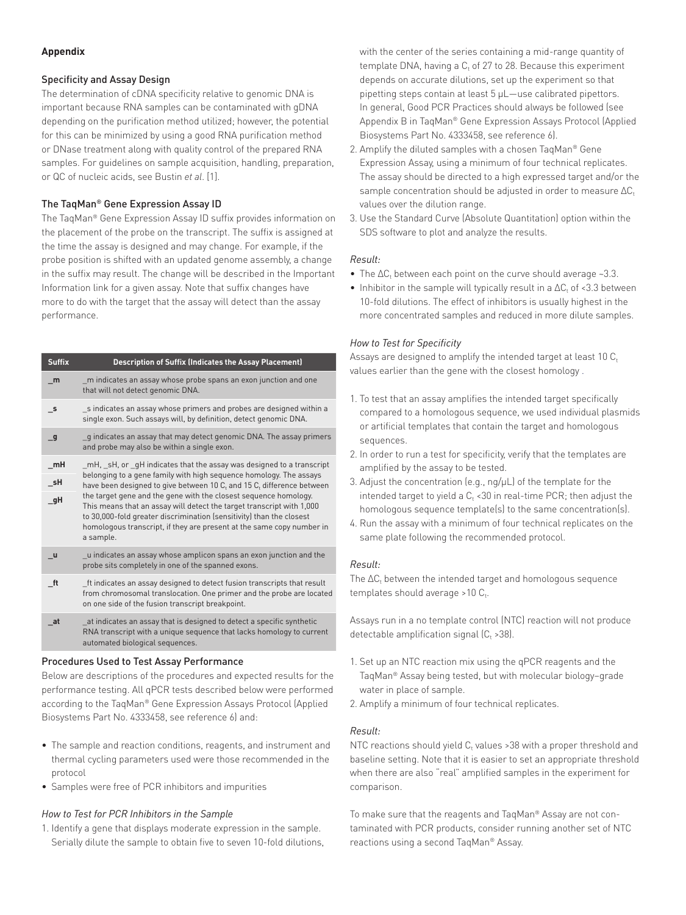## **Appendix**

## Specificity and Assay Design

The determination of cDNA specificity relative to genomic DNA is important because RNA samples can be contaminated with gDNA depending on the purification method utilized; however, the potential for this can be minimized by using a good RNA purification method or DNase treatment along with quality control of the prepared RNA samples. For guidelines on sample acquisition, handling, preparation, or QC of nucleic acids, see Bustin *et al*. [1].

# The TaqMan® Gene Expression Assay ID

The TaqMan® Gene Expression Assay ID suffix provides information on the placement of the probe on the transcript. The suffix is assigned at the time the assay is designed and may change. For example, if the probe position is shifted with an updated genome assembly, a change in the suffix may result. The change will be described in the Important Information link for a given assay. Note that suffix changes have more to do with the target that the assay will detect than the assay performance.

| <b>Suffix</b>            | <b>Description of Suffix (Indicates the Assay Placement)</b>                                                                                                                                                                                                                                                                                                                                                                                                                                                                  |
|--------------------------|-------------------------------------------------------------------------------------------------------------------------------------------------------------------------------------------------------------------------------------------------------------------------------------------------------------------------------------------------------------------------------------------------------------------------------------------------------------------------------------------------------------------------------|
| m                        | m indicates an assay whose probe spans an exon junction and one<br>that will not detect genomic DNA.                                                                                                                                                                                                                                                                                                                                                                                                                          |
| $\overline{\phantom{0}}$ | s indicates an assay whose primers and probes are designed within a<br>single exon. Such assays will, by definition, detect genomic DNA.                                                                                                                                                                                                                                                                                                                                                                                      |
| $\overline{\mathbf{g}}$  | g indicates an assay that may detect genomic DNA. The assay primers<br>and probe may also be within a single exon.                                                                                                                                                                                                                                                                                                                                                                                                            |
| $\_mH$<br>_sH<br>gH      | mH, sH, or qH indicates that the assay was designed to a transcript<br>belonging to a gene family with high sequence homology. The assays<br>have been designed to give between 10 C, and 15 C, difference between<br>the target gene and the gene with the closest seguence homology.<br>This means that an assay will detect the target transcript with 1,000<br>to 30,000-fold greater discrimination (sensitivity) than the closest<br>homologous transcript, if they are present at the same copy number in<br>a sample. |
| <b>u</b>                 | u indicates an assay whose amplicon spans an exon junction and the<br>probe sits completely in one of the spanned exons.                                                                                                                                                                                                                                                                                                                                                                                                      |
| It                       | ft indicates an assay designed to detect fusion transcripts that result<br>from chromosomal translocation. One primer and the probe are located                                                                                                                                                                                                                                                                                                                                                                               |

on one side of the fusion transcript breakpoint. **\_at** \_at indicates an assay that is designed to detect a specific synthetic RNA transcript with a unique sequence that lacks homology to current automated biological sequences.

# Procedures Used to Test Assay Performance

Below are descriptions of the procedures and expected results for the performance testing. All qPCR tests described below were performed according to the TaqMan® Gene Expression Assays Protocol (Applied Biosystems Part No. 4333458, see reference 6) and:

- The sample and reaction conditions, reagents, and instrument and thermal cycling parameters used were those recommended in the protocol
- Samples were free of PCR inhibitors and impurities

# *How to Test for PCR Inhibitors in the Sample*

1. Identify a gene that displays moderate expression in the sample. Serially dilute the sample to obtain five to seven 10-fold dilutions, with the center of the series containing a mid-range quantity of template DNA, having a  $C_t$  of 27 to 28. Because this experiment depends on accurate dilutions, set up the experiment so that pipetting steps contain at least 5 µL—use calibrated pipettors. In general, Good PCR Practices should always be followed (see Appendix B in TaqMan® Gene Expression Assays Protocol (Applied Biosystems Part No. 4333458, see reference 6).

- 2. Amplify the diluted samples with a chosen TaqMan® Gene Expression Assay, using a minimum of four technical replicates. The assay should be directed to a high expressed target and/or the sample concentration should be adjusted in order to measure  $\Delta C_t$ values over the dilution range.
- 3. Use the Standard Curve (Absolute Quantitation) option within the SDS software to plot and analyze the results.

# *Result:*

- The  $\Delta C_t$  between each point on the curve should average ~3.3.
- Inhibitor in the sample will typically result in a  $\Delta C_t$  of <3.3 between 10-fold dilutions. The effect of inhibitors is usually highest in the more concentrated samples and reduced in more dilute samples.

# *How to Test for Specificity*

Assays are designed to amplify the intended target at least 10  $C<sub>t</sub>$ values earlier than the gene with the closest homology .

- 1. To test that an assay amplifies the intended target specifically compared to a homologous sequence, we used individual plasmids or artificial templates that contain the target and homologous sequences.
- 2. In order to run a test for specificity, verify that the templates are amplified by the assay to be tested.
- 3. Adjust the concentration (e.g., ng/µL) of the template for the intended target to yield a  $C_t$  <30 in real-time PCR; then adjust the homologous sequence template(s) to the same concentration(s).
- 4. Run the assay with a minimum of four technical replicates on the same plate following the recommended protocol.

# *Result:*

The  $\Delta {\sf C}_{\sf t}$  between the intended target and homologous sequence templates should average >10  $\textsf{C}_\textsf{t}$ .

Assays run in a no template control (NTC) reaction will not produce detectable amplification signal (C $_{\rm t}$  >38).

- 1. Set up an NTC reaction mix using the qPCR reagents and the TaqMan® Assay being tested, but with molecular biology–grade water in place of sample.
- 2. Amplify a minimum of four technical replicates.

# *Result:*

NTC reactions should yield  $C_t$  values >38 with a proper threshold and baseline setting. Note that it is easier to set an appropriate threshold when there are also "real" amplified samples in the experiment for comparison.

To make sure that the reagents and TaqMan® Assay are not contaminated with PCR products, consider running another set of NTC reactions using a second TaqMan® Assay.